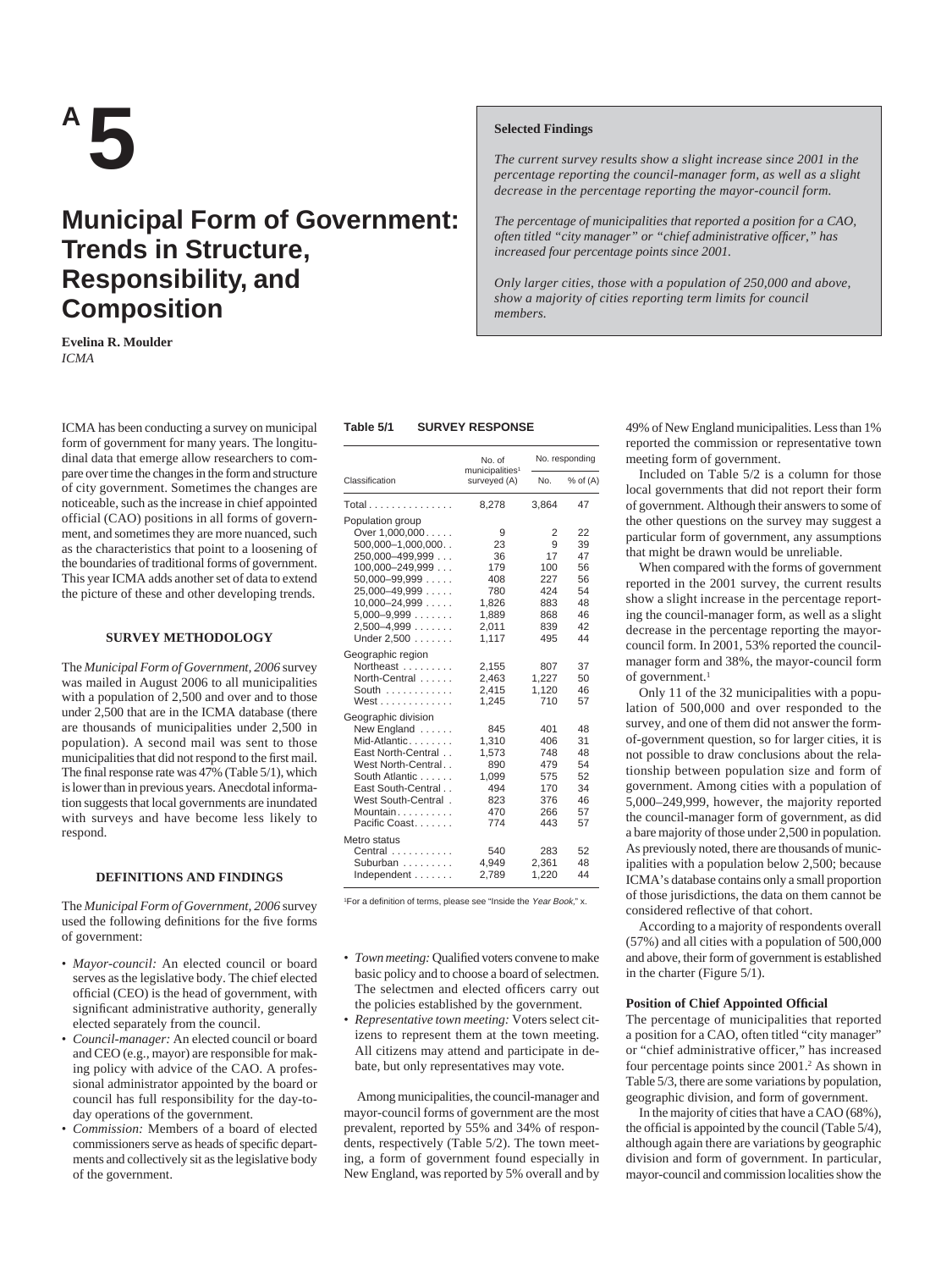# **A 5**

# **Municipal Form of Government: Trends in Structure, Responsibility, and Composition**

**Evelina R. Moulder** *ICMA*

ICMA has been conducting a survey on municipal form of government for many years. The longitudinal data that emerge allow researchers to compare over time the changes in the form and structure of city government. Sometimes the changes are noticeable, such as the increase in chief appointed official (CAO) positions in all forms of government, and sometimes they are more nuanced, such as the characteristics that point to a loosening of the boundaries of traditional forms of government. This year ICMA adds another set of data to extend the picture of these and other developing trends.

#### **SURVEY METHODOLOGY**

The *Municipal Form of Government, 2006* survey was mailed in August 2006 to all municipalities with a population of 2,500 and over and to those under 2,500 that are in the ICMA database (there are thousands of municipalities under 2,500 in population). A second mail was sent to those municipalities that did not respond to the first mail. The final response rate was 47% (Table 5/1), which is lower than in previous years. Anecdotal information suggests that local governments are inundated with surveys and have become less likely to respond.

#### **DEFINITIONS AND FINDINGS**

The *Municipal Form of Government, 2006* survey used the following definitions for the five forms of government:

- *Mayor-council:* An elected council or board serves as the legislative body. The chief elected official (CEO) is the head of government, with significant administrative authority, generally elected separately from the council.
- *Council-manager:* An elected council or board and CEO (e.g., mayor) are responsible for making policy with advice of the CAO. A professional administrator appointed by the board or council has full responsibility for the day-today operations of the government.
- *Commission:* Members of a board of elected commissioners serve as heads of specific departments and collectively sit as the legislative body of the government.

#### **Selected Findings**

*The current survey results show a slight increase since 2001 in the percentage reporting the council-manager form, as well as a slight decrease in the percentage reporting the mayor-council form.*

*The percentage of municipalities that reported a position for a CAO, often titled "city manager" or "chief administrative officer," has increased four percentage points since 2001.*

*Only larger cities, those with a population of 250,000 and above, show a majority of cities reporting term limits for council members.*

#### **Table 5/1 SURVEY RESPONSE**

|                                                                                                                                                                                                                         | No. of                                                                 |                                                               | No. responding                                           |  |  |  |
|-------------------------------------------------------------------------------------------------------------------------------------------------------------------------------------------------------------------------|------------------------------------------------------------------------|---------------------------------------------------------------|----------------------------------------------------------|--|--|--|
| Classification                                                                                                                                                                                                          | municipalities <sup>1</sup><br>surveyed (A)                            | No.                                                           | $%$ of $(A)$                                             |  |  |  |
| Total                                                                                                                                                                                                                   | 8,278                                                                  | 3,864                                                         | 47                                                       |  |  |  |
| Population group<br>Over 1,000,000<br>$500,000 - 1,000,000$<br>250,000-499,999<br>$100,000 - 249,999$<br>$50,000 - 99,999$<br>$25,000 - 49,999$<br>$10,000 - 24,999$<br>$5,000 - 9,999$<br>$2,500-4,999$<br>Under 2,500 | 9<br>23<br>36<br>179<br>408<br>780<br>1,826<br>1,889<br>2,011<br>1.117 | 2<br>9<br>17<br>100<br>227<br>424<br>883<br>868<br>839<br>495 | 22<br>39<br>47<br>56<br>56<br>54<br>48<br>46<br>42<br>44 |  |  |  |
| Geographic region<br>Northeast<br>North-Central<br>South<br>West                                                                                                                                                        | 2,155<br>2,463<br>2,415<br>1.245                                       | 807<br>1.227<br>1.120<br>710                                  | 37<br>50<br>46<br>57                                     |  |  |  |
| Geographic division<br>New England<br>Mid-Atlantic<br>East North-Central<br>West North-Central<br>South Atlantic<br>East South-Central<br>West South-Central.<br>Mountain<br>Pacific Coast.                             | 845<br>1,310<br>1,573<br>890<br>1,099<br>494<br>823<br>470<br>774      | 401<br>406<br>748<br>479<br>575<br>170<br>376<br>266<br>443   | 48<br>31<br>48<br>54<br>52<br>34<br>46<br>57<br>57       |  |  |  |
| Metro status<br>Central<br>Suburban<br>Independent                                                                                                                                                                      | 540<br>4,949<br>2,789                                                  | 283<br>2,361<br>1,220                                         | 52<br>48<br>44                                           |  |  |  |

<sup>1</sup>For a definition of terms, please see "Inside the Year Book," x.

- *Town meeting:* Qualified voters convene to make basic policy and to choose a board of selectmen. The selectmen and elected officers carry out the policies established by the government.
- *Representative town meeting:* Voters select citizens to represent them at the town meeting. All citizens may attend and participate in debate, but only representatives may vote.

Among municipalities, the council-manager and mayor-council forms of government are the most prevalent, reported by 55% and 34% of respondents, respectively (Table 5/2). The town meeting, a form of government found especially in New England, was reported by 5% overall and by 49% of New England municipalities. Less than 1% reported the commission or representative town meeting form of government.

Included on Table 5/2 is a column for those local governments that did not report their form of government. Although their answers to some of the other questions on the survey may suggest a particular form of government, any assumptions that might be drawn would be unreliable.

When compared with the forms of government reported in the 2001 survey, the current results show a slight increase in the percentage reporting the council-manager form, as well as a slight decrease in the percentage reporting the mayorcouncil form. In 2001, 53% reported the councilmanager form and 38%, the mayor-council form of government.<sup>1</sup>

Only 11 of the 32 municipalities with a population of 500,000 and over responded to the survey, and one of them did not answer the formof-government question, so for larger cities, it is not possible to draw conclusions about the relationship between population size and form of government. Among cities with a population of 5,000–249,999, however, the majority reported the council-manager form of government, as did a bare majority of those under 2,500 in population. As previously noted, there are thousands of municipalities with a population below 2,500; because ICMA's database contains only a small proportion of those jurisdictions, the data on them cannot be considered reflective of that cohort.

According to a majority of respondents overall (57%) and all cities with a population of 500,000 and above, their form of government is established in the charter (Figure 5/1).

#### **Position of Chief Appointed Official**

The percentage of municipalities that reported a position for a CAO, often titled "city manager" or "chief administrative officer," has increased four percentage points since 2001.2 As shown in Table 5/3, there are some variations by population, geographic division, and form of government.

In the majority of cities that have a CAO (68%), the official is appointed by the council (Table 5/4), although again there are variations by geographic division and form of government. In particular, mayor-council and commission localities show the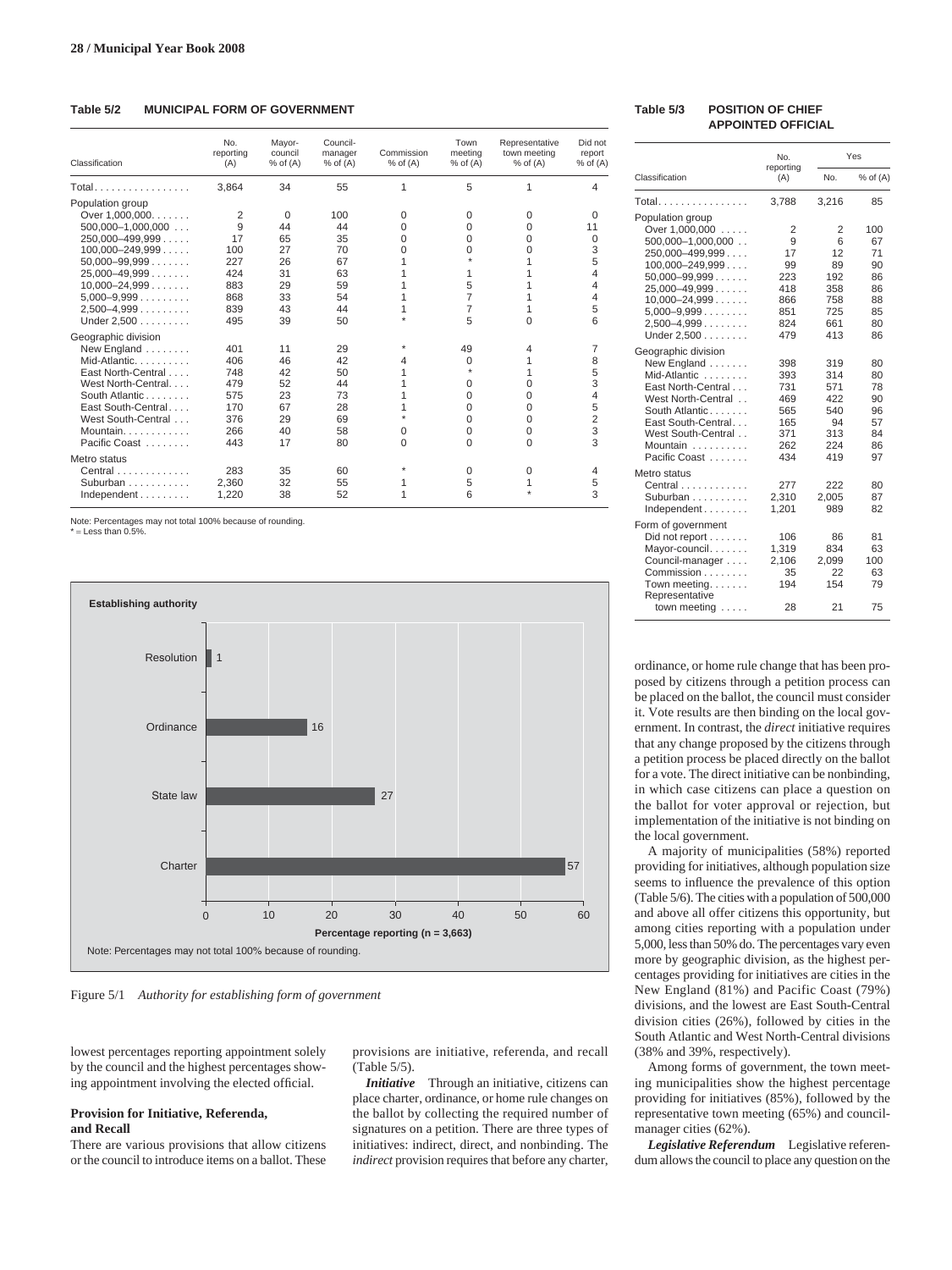# **Table 5/2 MUNICIPAL FORM OF GOVERNMENT**

| Classification            | No.<br>reporting<br>(A) | Mayor-<br>council<br>$%$ of $(A)$ | Council-<br>manager<br>$%$ of $(A)$ | Commission<br>$%$ of $(A)$ | Town<br>meeting<br>$%$ of $(A)$ | Representative<br>town meeting<br>$%$ of $(A)$ | Did not<br>report<br>$%$ of $(A)$ |
|---------------------------|-------------------------|-----------------------------------|-------------------------------------|----------------------------|---------------------------------|------------------------------------------------|-----------------------------------|
| Total.                    | 3.864                   | 34                                | 55                                  | 1                          | 5                               | 1                                              | 4                                 |
| Population group          |                         |                                   |                                     |                            |                                 |                                                |                                   |
| Over 1.000.000.           | 2                       | $\Omega$                          | 100                                 | 0                          | 0                               | 0                                              | 0                                 |
| $500,000-1,000,000$       | 9                       | 44                                | 44                                  | 0                          | 0                               | $\Omega$                                       | 11                                |
| $250,000 - 499,999$       | 17                      | 65                                | 35                                  | 0                          | 0                               | 0                                              | 0                                 |
| $100.000 - 249.999$       | 100                     | 27                                | 70                                  | $\Omega$                   | 0                               | 0                                              | 3                                 |
| $50.000 - 99.999$         | 227                     | 26                                | 67                                  | 1                          |                                 |                                                | 5                                 |
| $25,000-49,999$           | 424                     | 31                                | 63                                  |                            | 1                               |                                                | 4                                 |
| $10,000 - 24,999$         | 883                     | 29                                | 59                                  | 1                          | 5                               |                                                | 4                                 |
| $5,000 - 9,999$           | 868                     | 33                                | 54                                  | 1                          | 7                               |                                                | 4                                 |
| $2,500-4,999$             | 839                     | 43                                | 44                                  | 1                          | 7                               |                                                | 5                                 |
| Under 2.500               | 495                     | 39                                | 50                                  |                            | 5                               | $\Omega$                                       | 6                                 |
| Geographic division       |                         |                                   |                                     |                            |                                 |                                                |                                   |
| New England               | 401                     | 11                                | 29                                  |                            | 49                              | 4                                              | 7                                 |
| Mid-Atlantic              | 406                     | 46                                | 42                                  | 4                          | 0                               |                                                | 8                                 |
| East North-Central        | 748                     | 42                                | 50                                  |                            | $\star$                         |                                                | 5                                 |
| West North-Central        | 479                     | 52                                | 44                                  |                            | 0                               | 0                                              | 3                                 |
| South Atlantic            | 575                     | 23                                | 73                                  | 1                          | 0                               | 0                                              | 4                                 |
| East South-Central        | 170                     | 67                                | 28                                  |                            | 0                               | 0                                              | 5                                 |
| West South-Central        | 376                     | 29                                | 69                                  | ÷                          | 0                               | $\Omega$                                       | $\overline{2}$                    |
| Mountain                  | 266                     | 40                                | 58                                  | 0                          | 0                               | 0                                              | 3                                 |
| Pacific Coast             | 443                     | 17                                | 80                                  | 0                          | $\Omega$                        | $\Omega$                                       | 3                                 |
| Metro status              |                         |                                   |                                     |                            |                                 |                                                |                                   |
| Central                   | 283                     | 35                                | 60                                  |                            | 0                               | 0                                              | 4                                 |
| Suburban                  | 2,360                   | 32                                | 55                                  | 1                          | 5                               |                                                | 5                                 |
| $Independent \dots \dots$ | 1,220                   | 38                                | 52                                  |                            | 6                               |                                                | 3                                 |

Note: Percentages may not total 100% because of rounding.

 $=$  Less than 0.5%



Figure 5/1 *Authority for establishing form of government*

lowest percentages reporting appointment solely by the council and the highest percentages showing appointment involving the elected official.

# **Provision for Initiative, Referenda, and Recall**

There are various provisions that allow citizens or the council to introduce items on a ballot. These provisions are initiative, referenda, and recall (Table 5/5).

*Initiative* Through an initiative, citizens can place charter, ordinance, or home rule changes on the ballot by collecting the required number of signatures on a petition. There are three types of initiatives: indirect, direct, and nonbinding. The *indirect* provision requires that before any charter,

#### **Table 5/3 POSITION OF CHIEF APPOINTED OFFICIAL**

|                                                                                                                                                                                                                               | No.                                                          |                                                              | Yes                                                       |
|-------------------------------------------------------------------------------------------------------------------------------------------------------------------------------------------------------------------------------|--------------------------------------------------------------|--------------------------------------------------------------|-----------------------------------------------------------|
| Classification                                                                                                                                                                                                                | reporting<br>(A)                                             | No.                                                          | $%$ of $(A)$                                              |
| Total.                                                                                                                                                                                                                        | 3,788                                                        | 3,216                                                        | 85                                                        |
| Population group<br>Over 1,000,000<br>$500,000 - 1,000,000$ .<br>$250,000 - 499,999$<br>$100,000 - 249,999$<br>$50,000 - 99,999$<br>$25.000 - 49.999$<br>$10,000 - 24,999$<br>$5,000 - 9,999$<br>$2,500-4,999$<br>Under 2,500 | 2<br>9<br>17<br>99<br>223<br>418<br>866<br>851<br>824<br>479 | 2<br>6<br>12<br>89<br>192<br>358<br>758<br>725<br>661<br>413 | 100<br>67<br>71<br>90<br>86<br>86<br>88<br>85<br>80<br>86 |
| Geographic division<br>New England<br>Mid-Atlantic<br>East North-Central<br>West North-Central<br>South Atlantic<br>East South-Central<br>West South-Central<br>Mountain<br>Pacific Coast                                     | 398<br>393<br>731<br>469<br>565<br>165<br>371<br>262<br>434  | 319<br>314<br>571<br>422<br>540<br>94<br>313<br>224<br>419   | 80<br>80<br>78<br>90<br>96<br>57<br>84<br>86<br>97        |
| Metro status<br>Central $\ldots$ , $\ldots$ ,<br>Suburban<br>Independent                                                                                                                                                      | 277<br>2,310<br>1,201                                        | 222<br>2,005<br>989                                          | 80<br>87<br>82                                            |
| Form of government<br>Did not report<br>Mayor-council<br>Council-manager<br>Commission<br>Town meeting. $\ldots$<br>Representative<br>town meeting $\dots$ .                                                                  | 106<br>1,319<br>2,106<br>35<br>194<br>28                     | 86<br>834<br>2,099<br>22<br>154<br>21                        | 81<br>63<br>100<br>63<br>79<br>75                         |

ordinance, or home rule change that has been proposed by citizens through a petition process can be placed on the ballot, the council must consider it. Vote results are then binding on the local government. In contrast, the *direct* initiative requires that any change proposed by the citizens through a petition process be placed directly on the ballot for a vote. The direct initiative can be nonbinding, in which case citizens can place a question on the ballot for voter approval or rejection, but implementation of the initiative is not binding on the local government.

A majority of municipalities (58%) reported providing for initiatives, although population size seems to influence the prevalence of this option (Table 5/6). The cities with a population of 500,000 and above all offer citizens this opportunity, but among cities reporting with a population under 5,000, less than 50% do. The percentages vary even more by geographic division, as the highest percentages providing for initiatives are cities in the New England (81%) and Pacific Coast (79%) divisions, and the lowest are East South-Central division cities (26%), followed by cities in the South Atlantic and West North-Central divisions (38% and 39%, respectively).

Among forms of government, the town meeting municipalities show the highest percentage providing for initiatives (85%), followed by the representative town meeting (65%) and councilmanager cities (62%).

*Legislative Referendum* Legislative referendum allows the council to place any question on the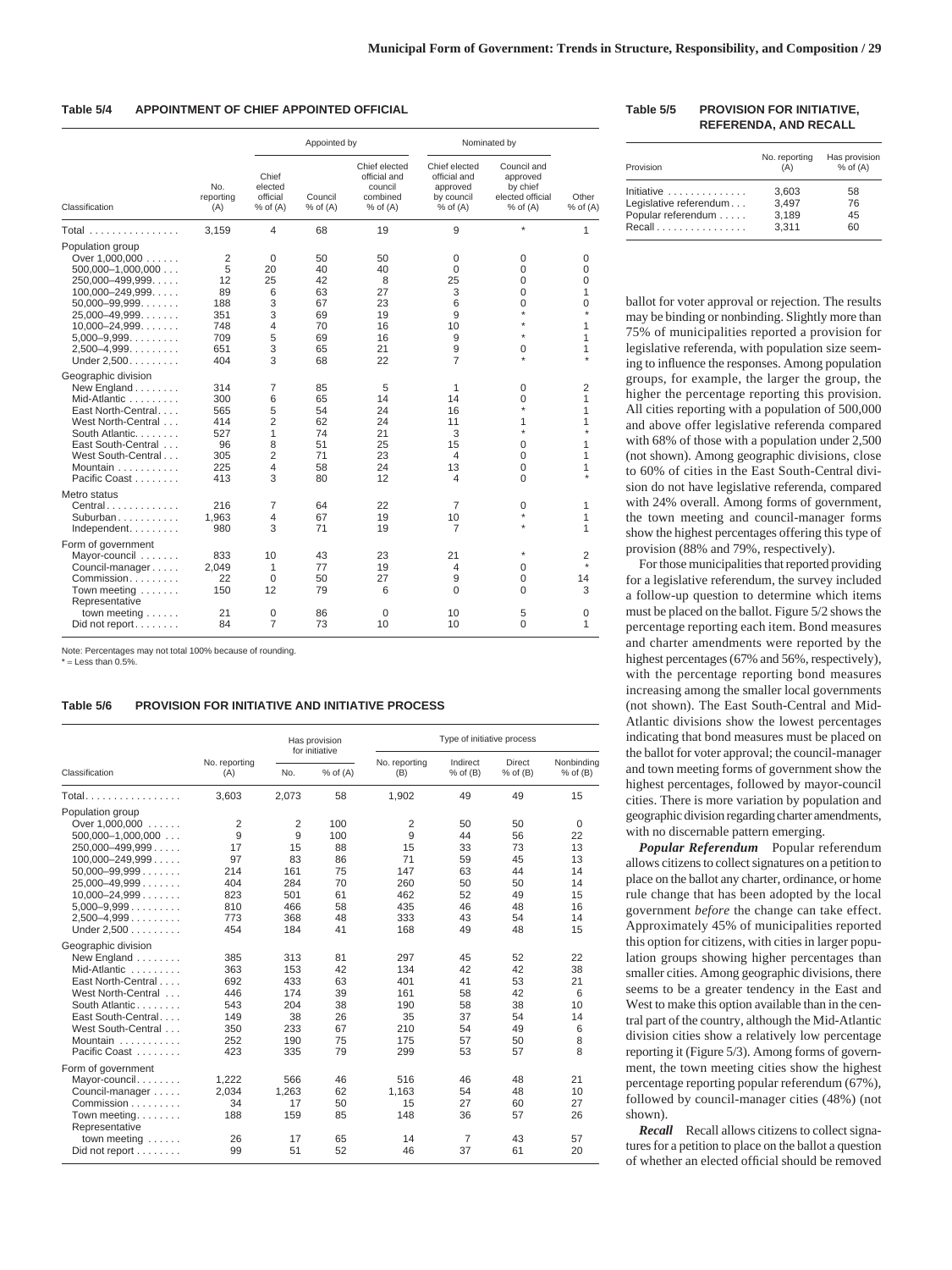#### **Table 5/4 APPOINTMENT OF CHIEF APPOINTED OFFICIAL**

|                      |                         |                                              | Appointed by            |                                                                      | Nominated by                                                            |                                                                         |                       |
|----------------------|-------------------------|----------------------------------------------|-------------------------|----------------------------------------------------------------------|-------------------------------------------------------------------------|-------------------------------------------------------------------------|-----------------------|
| Classification       | No.<br>reporting<br>(A) | Chief<br>elected<br>official<br>$%$ of $(A)$ | Council<br>$%$ of $(A)$ | Chief elected<br>official and<br>council<br>combined<br>$%$ of $(A)$ | Chief elected<br>official and<br>approved<br>by council<br>$%$ of $(A)$ | Council and<br>approved<br>by chief<br>elected official<br>$%$ of $(A)$ | Other<br>$%$ of $(A)$ |
| Total                | 3.159                   | 4                                            | 68                      | 19                                                                   | 9                                                                       | $\star$                                                                 | 1                     |
| Population group     |                         |                                              |                         |                                                                      |                                                                         |                                                                         |                       |
| Over 1,000,000       | 2                       | $\mathbf 0$                                  | 50                      | 50                                                                   | 0                                                                       | 0                                                                       | 0                     |
| $500,000-1,000,000$  | 5                       | 20                                           | 40                      | 40                                                                   | $\Omega$                                                                | 0                                                                       | $\Omega$              |
| $250,000 - 499,999$  | 12                      | 25                                           | 42                      | 8                                                                    | 25                                                                      | 0                                                                       | $\mathbf 0$           |
| $100,000 - 249,999$  | 89                      | 6                                            | 63                      | 27                                                                   | 3                                                                       | $\Omega$                                                                | 1                     |
| $50,000 - 99,999$    | 188                     | 3                                            | 67                      | 23                                                                   | 6                                                                       | $\Omega$                                                                | 0                     |
| $25,000 - 49,999$    | 351                     | 3                                            | 69                      | 19                                                                   | 9                                                                       | $\star$                                                                 | $\star$               |
| $10,000 - 24,999$    | 748                     | 4                                            | 70                      | 16                                                                   | 10                                                                      | ÷                                                                       | 1                     |
| $5,000-9,999$        | 709                     | 5                                            | 69                      | 16                                                                   | 9                                                                       | ÷                                                                       | 1                     |
| $2,500-4,999$        | 651                     | 3                                            | 65                      | 21                                                                   | 9                                                                       | 0                                                                       | 1                     |
| Under 2,500.         | 404                     | 3                                            | 68                      | 22                                                                   | $\overline{7}$                                                          | ÷                                                                       |                       |
| Geographic division  |                         |                                              |                         |                                                                      |                                                                         |                                                                         |                       |
| New England          | 314                     | 7                                            | 85                      | 5                                                                    | 1                                                                       | 0                                                                       | 2                     |
| Mid-Atlantic         | 300                     | 6                                            | 65                      | 14                                                                   | 14                                                                      | 0                                                                       | 1                     |
| East North-Central   | 565                     | 5                                            | 54                      | 24                                                                   | 16                                                                      | $\star$                                                                 | 1                     |
| West North-Central   | 414                     | $\overline{2}$                               | 62                      | 24                                                                   | 11                                                                      | 1                                                                       | 1                     |
| South Atlantic.      | 527                     | 1                                            | 74                      | 21                                                                   | 3                                                                       | $\star$                                                                 | $\boldsymbol{\ast}$   |
| East South-Central   | 96                      | 8                                            | 51                      | 25                                                                   | 15                                                                      | $\Omega$                                                                | 1                     |
| West South-Central   | 305                     | $\overline{2}$                               | 71                      | 23                                                                   | $\overline{4}$                                                          | 0                                                                       | 1                     |
| Mountain             | 225                     | 4                                            | 58                      | 24                                                                   | 13                                                                      | 0                                                                       | 1                     |
| Pacific Coast        | 413                     | 3                                            | 80                      | 12                                                                   | 4                                                                       | $\Omega$                                                                |                       |
| Metro status         |                         |                                              |                         |                                                                      |                                                                         |                                                                         |                       |
| $Central$            | 216                     | 7                                            | 64                      | 22                                                                   | 7                                                                       | 0                                                                       | 1                     |
| Suburban             | 1,963                   | 4                                            | 67                      | 19                                                                   | 10                                                                      | $\star$                                                                 | 1                     |
| Independent.         | 980                     | 3                                            | 71                      | 19                                                                   | $\overline{7}$                                                          |                                                                         | 1                     |
| Form of government   |                         |                                              |                         |                                                                      |                                                                         |                                                                         |                       |
| Mayor-council        | 833                     | 10                                           | 43                      | 23                                                                   | 21                                                                      |                                                                         | 2                     |
| Council-manager      | 2,049                   | 1                                            | 77                      | 19                                                                   | 4                                                                       | 0                                                                       |                       |
| Commission           | 22                      | 0                                            | 50                      | 27                                                                   | 9                                                                       | 0                                                                       | 14                    |
| Town meeting         | 150                     | 12                                           | 79                      | 6                                                                    | $\Omega$                                                                | $\Omega$                                                                | 3                     |
| Representative       |                         |                                              |                         |                                                                      |                                                                         |                                                                         |                       |
| town meeting $\dots$ | 21                      | 0                                            | 86                      | 0                                                                    | 10                                                                      | 5                                                                       | 0                     |
| Did not report       | 84                      | 7                                            | 73                      | 10                                                                   | 10                                                                      | $\Omega$                                                                | 1                     |
|                      |                         |                                              |                         |                                                                      |                                                                         |                                                                         |                       |

Note: Percentages may not total 100% because of rounding. \* = Less than 0.5%.

# **Table 5/6 PROVISION FOR INITIATIVE AND INITIATIVE PROCESS**

|                                |                      | Has provision<br>for initiative |              |                      | Type of initiative process |                               |                            |  |  |
|--------------------------------|----------------------|---------------------------------|--------------|----------------------|----------------------------|-------------------------------|----------------------------|--|--|
| Classification                 | No. reporting<br>(A) | No.                             | $%$ of $(A)$ | No. reporting<br>(B) | Indirect<br>$%$ of $(B)$   | <b>Direct</b><br>$%$ of $(B)$ | Nonbindina<br>$%$ of $(B)$ |  |  |
| <b>Total.</b>                  | 3,603                | 2,073                           | 58           | 1,902                | 49                         | 49                            | 15                         |  |  |
| Population group               |                      |                                 |              |                      |                            |                               |                            |  |  |
| Over $1,000,000$               | $\overline{2}$       | 2                               | 100          | 2                    | 50                         | 50                            | $\mathbf 0$                |  |  |
| $500,000-1,000,000$            | 9                    | 9                               | 100          | 9                    | 44                         | 56                            | 22                         |  |  |
| $250,000 - 499,999$            | 17                   | 15                              | 88           | 15                   | 33                         | 73                            | 13                         |  |  |
| $100,000 - 249,999$            | 97                   | 83                              | 86           | 71                   | 59                         | 45                            | 13                         |  |  |
| $50,000 - 99,999$              | 214                  | 161                             | 75           | 147                  | 63                         | 44                            | 14                         |  |  |
| $25,000-49,999$                | 404                  | 284                             | 70           | 260                  | 50                         | 50                            | 14                         |  |  |
| $10,000 - 24,999$              | 823                  | 501                             | 61           | 462                  | 52                         | 49                            | 15                         |  |  |
| $5,000 - 9,999$                | 810                  | 466                             | 58           | 435                  | 46                         | 48                            | 16                         |  |  |
| $2,500-4,999$                  | 773                  | 368                             | 48           | 333                  | 43                         | 54                            | 14                         |  |  |
| Under 2,500                    | 454                  | 184                             | 41           | 168                  | 49                         | 48                            | 15                         |  |  |
| Geographic division            |                      |                                 |              |                      |                            |                               |                            |  |  |
| New England                    | 385                  | 313                             | 81           | 297                  | 45                         | 52                            | 22                         |  |  |
| Mid-Atlantic                   | 363                  | 153                             | 42           | 134                  | 42                         | 42                            | 38                         |  |  |
| East North-Central             | 692                  | 433                             | 63           | 401                  | 41                         | 53                            | 21                         |  |  |
| West North-Central             | 446                  | 174                             | 39           | 161                  | 58                         | 42                            | 6                          |  |  |
| South Atlantic                 | 543                  | 204                             | 38           | 190                  | 58                         | 38                            | 10                         |  |  |
| East South-Central             | 149                  | 38                              | 26           | 35                   | 37                         | 54                            | 14                         |  |  |
| West South-Central             | 350                  | 233                             | 67           | 210                  | 54                         | 49                            | 6                          |  |  |
| Mountain                       | 252                  | 190                             | 75           | 175                  | 57                         | 50                            | 8                          |  |  |
| Pacific Coast                  | 423                  | 335                             | 79           | 299                  | 53                         | 57                            | 8                          |  |  |
| Form of government             |                      |                                 |              |                      |                            |                               |                            |  |  |
| Mayor-council.                 | 1.222                | 566                             | 46           | 516                  | 46                         | 48                            | 21                         |  |  |
| Council-manager                | 2,034                | 1,263                           | 62           | 1,163                | 54                         | 48                            | 10                         |  |  |
| Commission                     | 34                   | 17                              | 50           | 15                   | 27                         | 60                            | 27                         |  |  |
| Town meeting<br>Representative | 188                  | 159                             | 85           | 148                  | 36                         | 57                            | 26                         |  |  |
| town meeting $\dots$ .         | 26                   | 17                              | 65           | 14                   | 7                          | 43                            | 57                         |  |  |
| Did not report                 | 99                   | 51                              | 52           | 46                   | 37                         | 61                            | 20                         |  |  |

#### **Table 5/5 PROVISION FOR INITIATIVE, REFERENDA, AND RECALL**

| Provision              | No. reporting<br>(A) | Has provision<br>$%$ of $(A)$ |
|------------------------|----------------------|-------------------------------|
| Initiative             | 3,603                | 58                            |
| Legislative referendum | 3,497                | 76                            |
| Popular referendum     | 3,189                | 45                            |
| Recall                 | 3.311                | 60                            |

ballot for voter approval or rejection. The results may be binding or nonbinding. Slightly more than 75% of municipalities reported a provision for legislative referenda, with population size seeming to influence the responses. Among population groups, for example, the larger the group, the higher the percentage reporting this provision. All cities reporting with a population of 500,000 and above offer legislative referenda compared with 68% of those with a population under 2,500 (not shown). Among geographic divisions, close to 60% of cities in the East South-Central division do not have legislative referenda, compared with 24% overall. Among forms of government, the town meeting and council-manager forms show the highest percentages offering this type of provision (88% and 79%, respectively).

For those municipalities that reported providing for a legislative referendum, the survey included a follow-up question to determine which items must be placed on the ballot. Figure 5/2 shows the percentage reporting each item. Bond measures and charter amendments were reported by the highest percentages (67% and 56%, respectively), with the percentage reporting bond measures increasing among the smaller local governments (not shown). The East South-Central and Mid-Atlantic divisions show the lowest percentages indicating that bond measures must be placed on the ballot for voter approval; the council-manager and town meeting forms of government show the highest percentages, followed by mayor-council cities. There is more variation by population and geographic division regarding charter amendments, with no discernable pattern emerging.

*Popular Referendum* Popular referendum allows citizens to collect signatures on a petition to place on the ballot any charter, ordinance, or home rule change that has been adopted by the local government *before* the change can take effect. Approximately 45% of municipalities reported this option for citizens, with cities in larger population groups showing higher percentages than smaller cities. Among geographic divisions, there seems to be a greater tendency in the East and West to make this option available than in the central part of the country, although the Mid-Atlantic division cities show a relatively low percentage reporting it (Figure 5/3). Among forms of government, the town meeting cities show the highest percentage reporting popular referendum (67%), followed by council-manager cities (48%) (not shown).

*Recall* Recall allows citizens to collect signatures for a petition to place on the ballot a question of whether an elected official should be removed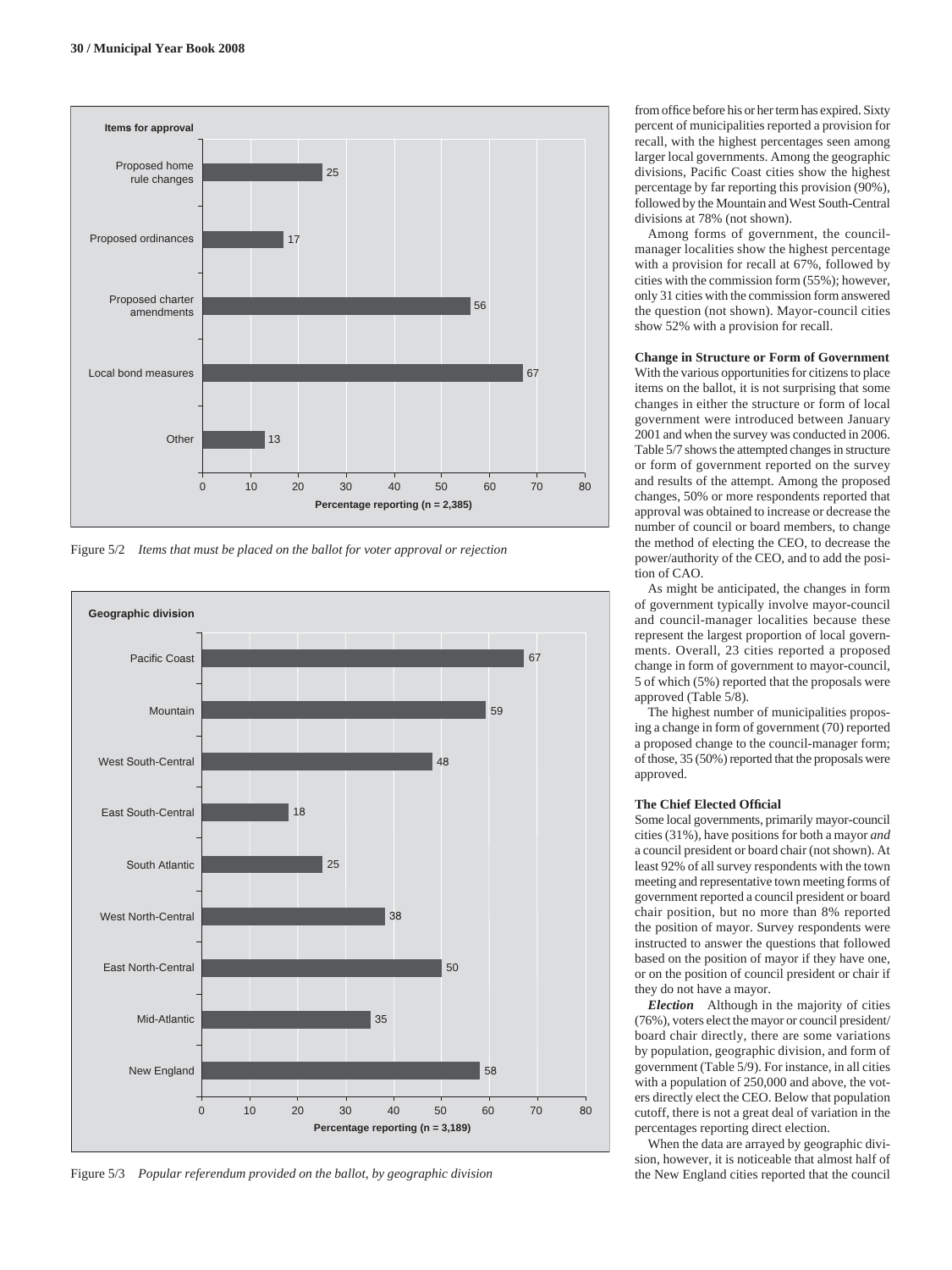

Figure 5/2 *Items that must be placed on the ballot for voter approval or rejection*



Figure 5/3 *Popular referendum provided on the ballot, by geographic division*

from office before his or her term has expired. Sixty percent of municipalities reported a provision for recall, with the highest percentages seen among larger local governments. Among the geographic divisions, Pacific Coast cities show the highest percentage by far reporting this provision (90%), followed by the Mountain and West South-Central divisions at 78% (not shown).

Among forms of government, the councilmanager localities show the highest percentage with a provision for recall at 67%, followed by cities with the commission form (55%); however, only 31 cities with the commission form answered the question (not shown). Mayor-council cities show 52% with a provision for recall.

# **Change in Structure or Form of Government**

With the various opportunities for citizens to place items on the ballot, it is not surprising that some changes in either the structure or form of local government were introduced between January 2001 and when the survey was conducted in 2006. Table 5/7 shows the attempted changes in structure or form of government reported on the survey and results of the attempt. Among the proposed changes, 50% or more respondents reported that approval was obtained to increase or decrease the number of council or board members, to change the method of electing the CEO, to decrease the power/authority of the CEO, and to add the position of CAO.

As might be anticipated, the changes in form of government typically involve mayor-council and council-manager localities because these represent the largest proportion of local governments. Overall, 23 cities reported a proposed change in form of government to mayor-council, 5 of which (5%) reported that the proposals were approved (Table 5/8).

The highest number of municipalities proposing a change in form of government (70) reported a proposed change to the council-manager form; of those, 35 (50%) reported that the proposals were approved.

#### **The Chief Elected Official**

Some local governments, primarily mayor-council cities (31%), have positions for both a mayor *and* a council president or board chair (not shown). At least 92% of all survey respondents with the town meeting and representative town meeting forms of government reported a council president or board chair position, but no more than 8% reported the position of mayor. Survey respondents were instructed to answer the questions that followed based on the position of mayor if they have one, or on the position of council president or chair if they do not have a mayor.

*Election* Although in the majority of cities (76%), voters elect the mayor or council president/ board chair directly, there are some variations by population, geographic division, and form of government (Table 5/9). For instance, in all cities with a population of 250,000 and above, the voters directly elect the CEO. Below that population cutoff, there is not a great deal of variation in the percentages reporting direct election.

When the data are arrayed by geographic division, however, it is noticeable that almost half of the New England cities reported that the council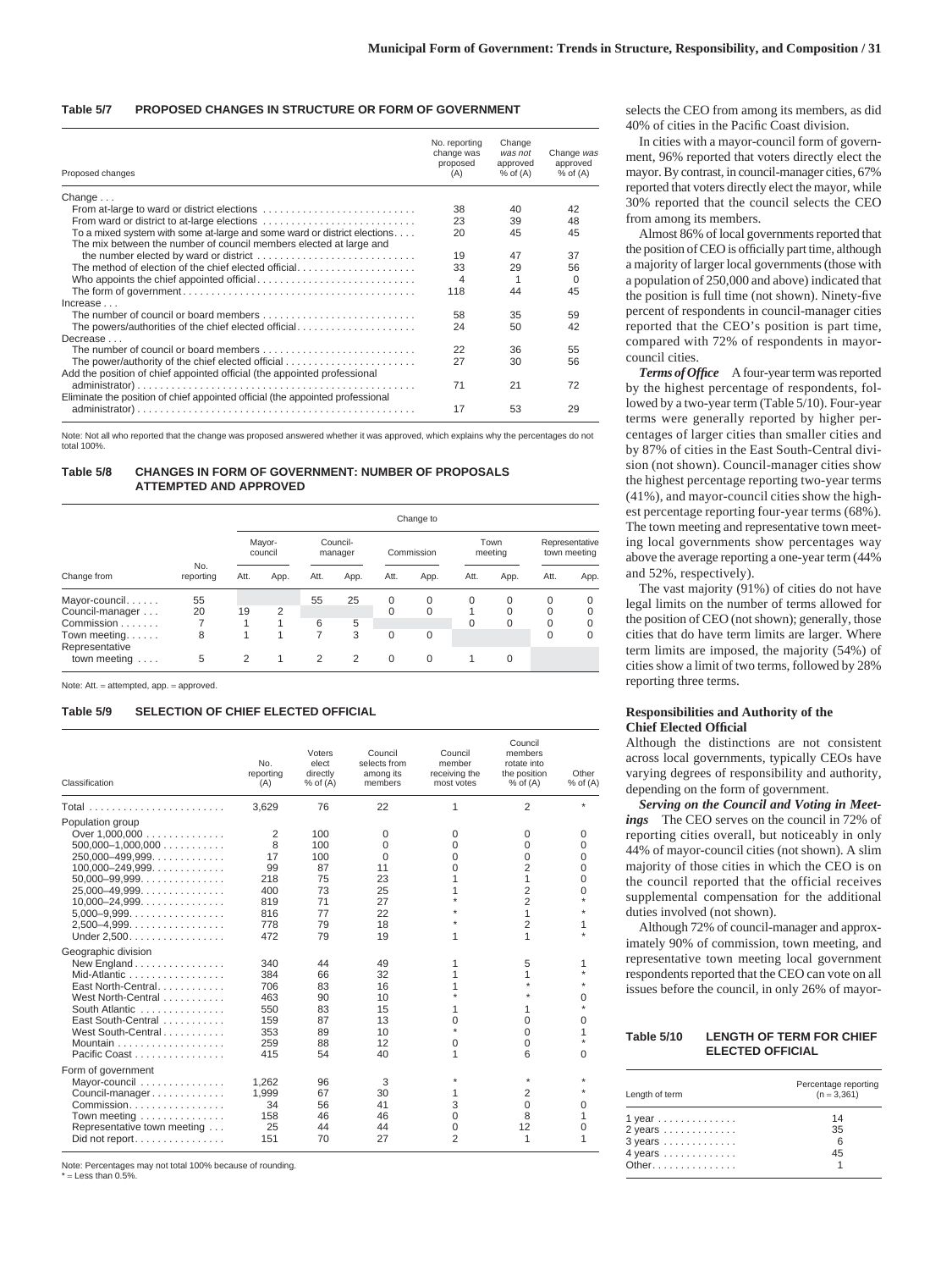#### **Table 5/7 PROPOSED CHANGES IN STRUCTURE OR FORM OF GOVERNMENT**

| Proposed changes                                                                                                                               | No. reporting<br>change was<br>proposed<br>(A) | Change<br>was not<br>approved<br>$%$ of $(A)$ | Change was<br>approved<br>$%$ of $(A)$ |
|------------------------------------------------------------------------------------------------------------------------------------------------|------------------------------------------------|-----------------------------------------------|----------------------------------------|
| Change $\dots$                                                                                                                                 |                                                |                                               |                                        |
| From at-large to ward or district elections                                                                                                    | 38                                             | 40                                            | 42                                     |
| From ward or district to at-large elections                                                                                                    | 23                                             | 39                                            | 48                                     |
| To a mixed system with some at-large and some ward or district elections<br>The mix between the number of council members elected at large and | 20                                             | 45                                            | 45                                     |
|                                                                                                                                                | 19                                             | 47                                            | 37                                     |
| The method of election of the chief elected official                                                                                           | 33                                             | 29                                            | 56                                     |
|                                                                                                                                                | 4                                              |                                               | $\Omega$                               |
|                                                                                                                                                | 118                                            | 44                                            | 45                                     |
| increase                                                                                                                                       |                                                |                                               |                                        |
| The number of council or board members                                                                                                         | 58                                             | 35                                            | 59                                     |
| The powers/authorities of the chief elected official<br>Decrease                                                                               | 24                                             | 50                                            | 42                                     |
| The number of council or board members                                                                                                         | 22                                             | 36                                            | 55                                     |
| Add the position of chief appointed official (the appointed professional                                                                       | 27                                             | 30                                            | 56                                     |
| Eliminate the position of chief appointed official (the appointed professional                                                                 | 71                                             | 21                                            | 72                                     |
|                                                                                                                                                | 17                                             | 53                                            | 29                                     |

Note: Not all who reported that the change was proposed answered whether it was approved, which explains why the percentages do not total 100%.

# **Table 5/8 CHANGES IN FORM OF GOVERNMENT: NUMBER OF PROPOSALS ATTEMPTED AND APPROVED**

|                                                                           | Change to     |      |                   |         |                     |                                  |             |                      |                    |                                          |                                |
|---------------------------------------------------------------------------|---------------|------|-------------------|---------|---------------------|----------------------------------|-------------|----------------------|--------------------|------------------------------------------|--------------------------------|
|                                                                           |               |      | Mayor-<br>council |         | Council-<br>manager |                                  | Commission  |                      | Town<br>meeting    |                                          | Representative<br>town meeting |
| No.<br>Change from                                                        | reporting     | Att. | App.              | Att.    | App.                | Att.                             | App.        | Att.                 | App.               | Att.                                     | App.                           |
| Mayor-council<br>Council-manager<br>Commission<br>Town meeting. $\dots$ . | 55<br>20<br>8 | 19   | 2                 | 55<br>6 | 25<br>5<br>3        | $\Omega$<br>$\Omega$<br>$\Omega$ | 0<br>0<br>0 | $\Omega$<br>$\Omega$ | 0<br>$\Omega$<br>0 | $\Omega$<br>$\Omega$<br>0<br>$\mathbf 0$ | $\Omega$<br>0<br>0<br>0        |
| Representative<br>town meeting                                            | 5             | 2    | 1                 | 2       | 2                   | $\Omega$                         | $\Omega$    |                      | $\mathbf 0$        |                                          |                                |

Note: Att. = attempted, app. = approved.

#### **Table 5/9 SELECTION OF CHIEF ELECTED OFFICIAL**

| Classification                                                                                                                                                                                                           | No.<br>reporting<br>(A)                                      | Voters<br>elect<br>directly<br>$%$ of $(A)$                 | Council<br>selects from<br>among its<br>members                     | Council<br>member<br>receiving the<br>most votes | Council<br>members<br>rotate into<br>the position<br>$%$ of $(A)$                                   | Other<br>$%$ of $(A)$                                         |
|--------------------------------------------------------------------------------------------------------------------------------------------------------------------------------------------------------------------------|--------------------------------------------------------------|-------------------------------------------------------------|---------------------------------------------------------------------|--------------------------------------------------|-----------------------------------------------------------------------------------------------------|---------------------------------------------------------------|
|                                                                                                                                                                                                                          | 3,629                                                        | 76                                                          | 22                                                                  | 1                                                | 2                                                                                                   | $\star$                                                       |
| Population group<br>Over 1,000,000<br>$500,000-1,000,000$<br>$250,000 - 499,999$<br>$100,000 - 249,999$<br>$50,000 - 99,999$<br>$25,000 - 49,999$<br>$10,000 - 24,999$<br>$5,000-9,999$<br>$2,500-4,999$<br>Under 2.500. | 2<br>8<br>17<br>99<br>218<br>400<br>819<br>816<br>778<br>472 | 100<br>100<br>100<br>87<br>75<br>73<br>71<br>77<br>79<br>79 | $\Omega$<br>0<br>$\Omega$<br>11<br>23<br>25<br>27<br>22<br>18<br>19 | 0<br>0<br>0<br>0<br>1<br>1                       | 0<br>$\Omega$<br>$\Omega$<br>2<br>1<br>$\overline{2}$<br>$\overline{2}$<br>1<br>$\overline{2}$<br>1 | 0<br>$\Omega$<br>$\Omega$<br>$\Omega$<br>$\Omega$<br>$\Omega$ |
| Geographic division<br>New England<br>Mid-Atlantic<br>East North-Central<br>West North-Central<br>South Atlantic<br>East South-Central<br>West South-Central<br>Pacific Coast                                            | 340<br>384<br>706<br>463<br>550<br>159<br>353<br>259<br>415  | 44<br>66<br>83<br>90<br>83<br>87<br>89<br>88<br>54          | 49<br>32<br>16<br>10<br>15<br>13<br>10<br>12<br>40                  | 1<br>1<br>1<br>0<br>$\star$<br>0<br>1            | 5<br>1<br>1<br>0<br>$\mathbf 0$<br>$\mathbf 0$<br>6                                                 | O<br>$\Omega$<br>$\Omega$                                     |
| Form of government<br>Mayor-council<br>Council-manager<br>Town meeting<br>Representative town meeting<br>Did not report                                                                                                  | 1.262<br>1.999<br>34<br>158<br>25<br>151                     | 96<br>67<br>56<br>46<br>44<br>70                            | 3<br>30<br>41<br>46<br>44<br>27                                     | 1<br>3<br>$\Omega$<br>0<br>$\overline{2}$        | $\star$<br>$\overline{2}$<br>$\Omega$<br>8<br>12<br>1                                               | $\Omega$<br>0<br>1                                            |

Note: Percentages may not total 100% because of rounding.

 $=$  Less than 0.5%

selects the CEO from among its members, as did 40% of cities in the Pacific Coast division.

In cities with a mayor-council form of government, 96% reported that voters directly elect the mayor. By contrast, in council-manager cities, 67% reported that voters directly elect the mayor, while 30% reported that the council selects the CEO from among its members.

Almost 86% of local governments reported that the position of CEO is officially part time, although a majority of larger local governments (those with a population of 250,000 and above) indicated that the position is full time (not shown). Ninety-five percent of respondents in council-manager cities reported that the CEO's position is part time, compared with 72% of respondents in mayorcouncil cities.

*Terms of Office* A four-year term was reported by the highest percentage of respondents, followed by a two-year term (Table 5/10). Four-year terms were generally reported by higher percentages of larger cities than smaller cities and by 87% of cities in the East South-Central division (not shown). Council-manager cities show the highest percentage reporting two-year terms (41%), and mayor-council cities show the highest percentage reporting four-year terms (68%). The town meeting and representative town meeting local governments show percentages way above the average reporting a one-year term (44% and 52%, respectively).

The vast majority (91%) of cities do not have legal limits on the number of terms allowed for the position of CEO (not shown); generally, those cities that do have term limits are larger. Where term limits are imposed, the majority (54%) of cities show a limit of two terms, followed by 28% reporting three terms.

## **Responsibilities and Authority of the Chief Elected Official**

Although the distinctions are not consistent across local governments, typically CEOs have varying degrees of responsibility and authority, depending on the form of government.

*Serving on the Council and Voting in Meetings* The CEO serves on the council in 72% of reporting cities overall, but noticeably in only 44% of mayor-council cities (not shown). A slim majority of those cities in which the CEO is on the council reported that the official receives supplemental compensation for the additional duties involved (not shown).

Although 72% of council-manager and approximately 90% of commission, town meeting, and representative town meeting local government respondents reported that the CEO can vote on all issues before the council, in only 26% of mayor-

#### **Table 5/10 LENGTH OF TERM FOR CHIEF ELECTED OFFICIAL**

| Length of term                                                                                                                                    | Percentage reporting<br>$(n = 3,361)$ |
|---------------------------------------------------------------------------------------------------------------------------------------------------|---------------------------------------|
| $1$ year<br>$2$ years $\dots\dots\dots\dots\dots$<br>$3 \text{ years} \dots \dots \dots \dots$<br>$4$ years $\dots\dots\dots\dots\dots$<br>Other. | 14<br>35<br>6<br>45                   |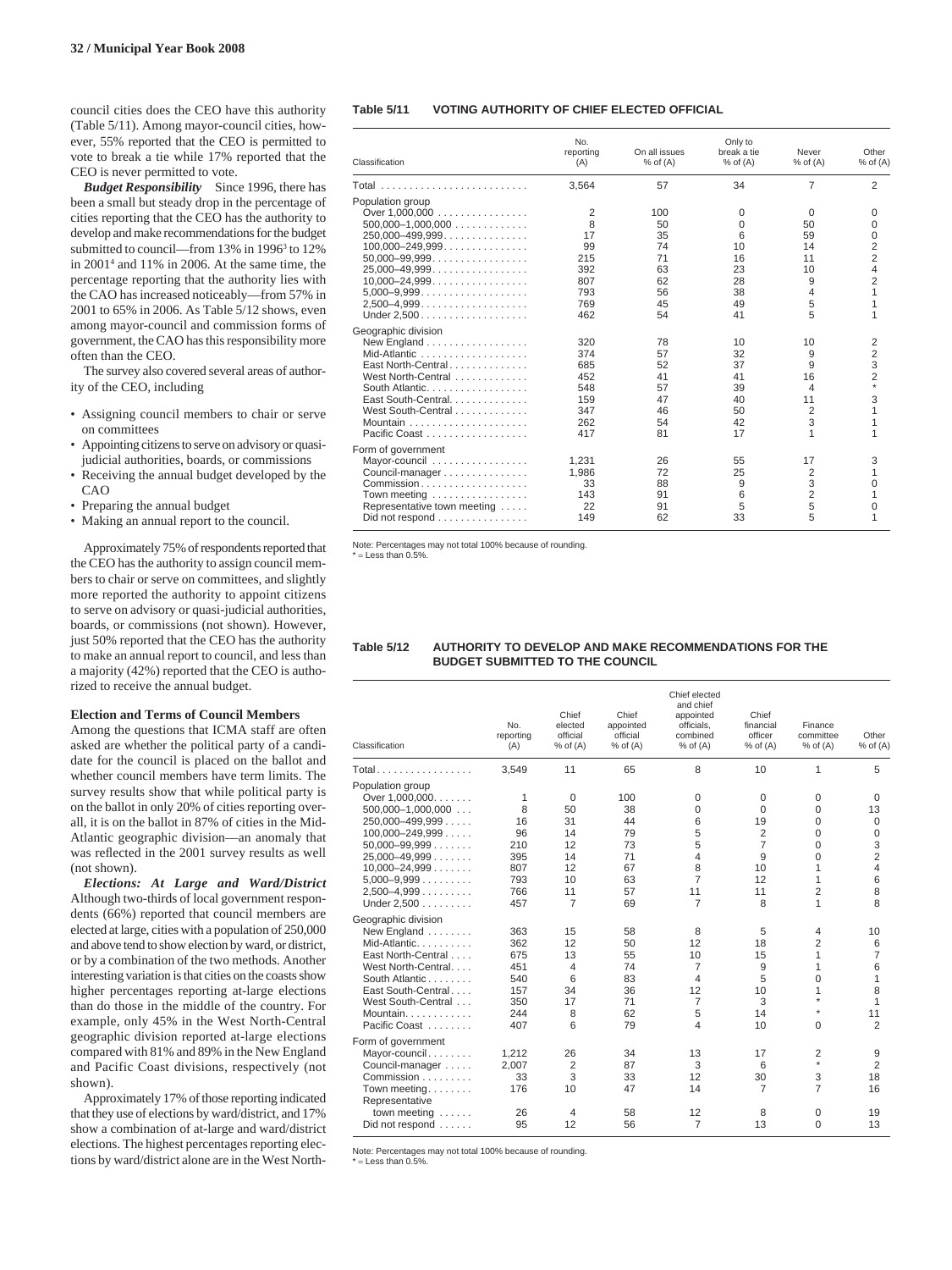council cities does the CEO have this authority (Table 5/11). Among mayor-council cities, however, 55% reported that the CEO is permitted to vote to break a tie while 17% reported that the CEO is never permitted to vote.

*Budget Responsibility* Since 1996, there has been a small but steady drop in the percentage of cities reporting that the CEO has the authority to develop and make recommendations for the budget submitted to council—from 13% in 1996<sup>3</sup> to 12% in 20014 and 11% in 2006. At the same time, the percentage reporting that the authority lies with the CAO has increased noticeably—from 57% in 2001 to 65% in 2006. As Table 5/12 shows, even among mayor-council and commission forms of government, the CAO has this responsibility more often than the CEO.

The survey also covered several areas of authority of the CEO, including

- Assigning council members to chair or serve on committees
- Appointing citizens to serve on advisory or quasijudicial authorities, boards, or commissions
- Receiving the annual budget developed by the CAO
- Preparing the annual budget
- Making an annual report to the council.

Approximately 75% of respondents reported that the CEO has the authority to assign council members to chair or serve on committees, and slightly more reported the authority to appoint citizens to serve on advisory or quasi-judicial authorities, boards, or commissions (not shown). However, just 50% reported that the CEO has the authority to make an annual report to council, and less than a majority (42%) reported that the CEO is authorized to receive the annual budget.

#### **Election and Terms of Council Members**

Among the questions that ICMA staff are often asked are whether the political party of a candidate for the council is placed on the ballot and whether council members have term limits. The survey results show that while political party is on the ballot in only 20% of cities reporting overall, it is on the ballot in 87% of cities in the Mid-Atlantic geographic division—an anomaly that was reflected in the 2001 survey results as well (not shown).

*Elections: At Large and Ward/District* Although two-thirds of local government respondents (66%) reported that council members are elected at large, cities with a population of 250,000 and above tend to show election by ward, or district, or by a combination of the two methods. Another interesting variation is that cities on the coasts show higher percentages reporting at-large elections than do those in the middle of the country. For example, only 45% in the West North-Central geographic division reported at-large elections compared with 81% and 89% in the New England and Pacific Coast divisions, respectively (not shown).

Approximately 17% of those reporting indicated that they use of elections by ward/district, and 17% show a combination of at-large and ward/district elections. The highest percentages reporting elections by ward/district alone are in the West North-

#### **Table 5/11 VOTING AUTHORITY OF CHIEF ELECTED OFFICIAL**

| Classification                                       | No.<br>reporting<br>(A) | On all issues<br>$%$ of $(A)$ | Only to<br>break a tie<br>$%$ of $(A)$ | Never<br>$%$ of $(A)$ | Other<br>$%$ of $(A)$ |
|------------------------------------------------------|-------------------------|-------------------------------|----------------------------------------|-----------------------|-----------------------|
|                                                      | 3,564                   | 57                            | 34                                     | 7                     | $\overline{2}$        |
| Population group                                     |                         |                               |                                        |                       |                       |
|                                                      | 2                       | 100                           | 0                                      | $\Omega$              | 0                     |
| $500,000-1,000,000$                                  | 8                       | 50                            | $\Omega$                               | 50                    | $\Omega$              |
| $250,000 - 499,999$                                  | 17                      | 35                            | 6                                      | 59                    | $\Omega$              |
| $100,000 - 249,999$                                  | 99                      | 74                            | 10                                     | 14                    | 2                     |
| $50,000 - 99,999$                                    | 215                     | 71                            | 16                                     | 11                    | $\overline{2}$        |
| $25,000 - 49,999$                                    | 392                     | 63                            | 23                                     | 10                    | 4                     |
| $10,000 - 24,999$                                    | 807                     | 62                            | 28                                     | 9                     | $\overline{2}$        |
| $5,000-9,999$                                        | 793                     | 56                            | 38                                     | 4                     | 1                     |
|                                                      | 769                     | 45                            | 49                                     | 5                     | 1                     |
|                                                      | 462                     | 54                            | 41                                     | 5                     | 1                     |
| Geographic division                                  |                         |                               |                                        |                       |                       |
| New England                                          | 320                     | 78                            | 10                                     | 10                    | 2                     |
| Mid-Atlantic                                         | 374                     | 57                            | 32                                     | 9                     | 2                     |
| East North-Central                                   | 685                     | 52                            | 37                                     | 9                     | 3                     |
| West North-Central                                   | 452                     | 41                            | 41                                     | 16                    | 2                     |
| South Atlantic.                                      | 548                     | 57                            | 39                                     | $\overline{4}$        | ÷.                    |
| East South-Central.                                  | 159                     | 47                            | 40                                     | 11                    | 3                     |
| West South-Central                                   | 347                     | 46                            | 50                                     | $\overline{2}$        | 1                     |
| Mountain $\ldots \ldots \ldots \ldots \ldots$        | 262                     | 54                            | 42                                     | 3                     | 1                     |
| Pacific Coast                                        | 417                     | 81                            | 17                                     | 1                     | 1                     |
|                                                      |                         |                               |                                        |                       |                       |
| Form of government                                   |                         |                               |                                        | 17                    |                       |
| Mayor-council                                        | 1.231                   | 26<br>72                      | 55                                     |                       | 3<br>1                |
| Council-manager                                      | 1,986                   |                               | 25                                     | 2                     |                       |
| Commission                                           | 33                      | 88                            | 9                                      | 3                     | 0                     |
| Town meeting                                         | 143                     | 91                            | 6                                      | $\overline{2}$        | 1                     |
| Representative town meeting                          | 22                      | 91                            | 5                                      | 5                     | 0                     |
| Did not respond $\ldots \ldots \ldots \ldots \ldots$ | 149                     | 62                            | 33                                     | 5                     | 1                     |

Note: Percentages may not total 100% because of rounding. \* = Less than 0.5%.

## **Table 5/12 AUTHORITY TO DEVELOP AND MAKE RECOMMENDATIONS FOR THE BUDGET SUBMITTED TO THE COUNCIL**

| No.<br>reporting<br>(A)                                     | Chief<br>elected<br>official<br>$%$ of $(A)$                | Chief<br>appointed<br>official<br>$%$ of $(A)$      | Chief elected<br>and chief<br>appointed<br>officials,<br>combined<br>$%$ of $(A)$   | Chief<br>financial<br>officer<br>$%$ of $(A)$                                  | Finance<br>committee<br>$%$ of $(A)$                             | Other<br>$%$ of $(A)$                                                            |
|-------------------------------------------------------------|-------------------------------------------------------------|-----------------------------------------------------|-------------------------------------------------------------------------------------|--------------------------------------------------------------------------------|------------------------------------------------------------------|----------------------------------------------------------------------------------|
| 3,549                                                       | 11                                                          | 65                                                  | 8                                                                                   | 10                                                                             | 1                                                                | 5                                                                                |
| 1<br>8<br>16<br>96<br>210<br>395<br>807<br>793<br>766       | $\mathbf 0$<br>50<br>31<br>14<br>12<br>14<br>12<br>10<br>11 | 100<br>38<br>44<br>79<br>73<br>71<br>67<br>63<br>57 | 0<br>0<br>6<br>5<br>5<br>4<br>8<br>7<br>11                                          | $\mathbf 0$<br>$\mathbf 0$<br>19<br>2<br>$\overline{7}$<br>9<br>10<br>12<br>11 | $\mathbf 0$<br>0<br>0<br>0<br>0<br>0<br>1<br>1<br>$\overline{2}$ | $\mathbf 0$<br>13<br>$\mathbf 0$<br>0<br>3<br>$\overline{2}$<br>4<br>6<br>8<br>8 |
| 363<br>362<br>675<br>451<br>540<br>157<br>350<br>244<br>407 | 15<br>12<br>13<br>$\overline{4}$<br>6<br>34<br>17<br>8<br>6 | 58<br>50<br>55<br>74<br>83<br>36<br>71<br>62<br>79  | 8<br>12<br>10<br>$\overline{7}$<br>$\overline{4}$<br>12<br>$\overline{7}$<br>5<br>4 | 5<br>18<br>15<br>9<br>5<br>10<br>3<br>14<br>10                                 | 4<br>$\overline{2}$<br>1<br>1<br>0<br>1<br>$\star$<br>$\Omega$   | 10<br>6<br>7<br>6<br>1<br>8<br>1<br>11<br>$\overline{2}$                         |
| 1,212<br>2,007<br>33<br>176<br>26                           | 26<br>2<br>3<br>10<br>$\overline{4}$                        | 34<br>87<br>33<br>47<br>58                          | 13<br>3<br>12<br>14<br>12                                                           | 17<br>6<br>30<br>7<br>8                                                        | 2<br>$\star$<br>3<br>$\overline{7}$<br>0                         | 9<br>$\overline{2}$<br>18<br>16<br>19<br>13                                      |
|                                                             | 457<br>95                                                   | $\overline{7}$<br>12                                | 69<br>56                                                                            | 7<br>$\overline{7}$                                                            | 8<br>13                                                          | 1<br>0                                                                           |

Note: Percentages may not total 100% because of rounding.

 $=$  Less than 0.5%